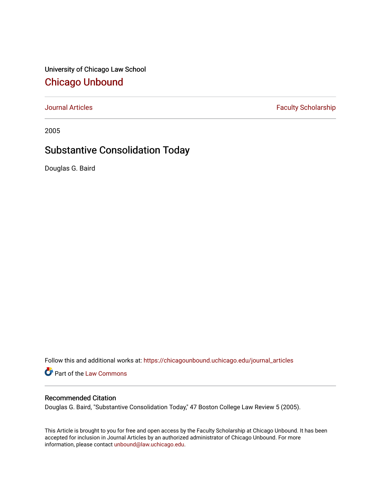University of Chicago Law School [Chicago Unbound](https://chicagounbound.uchicago.edu/)

[Journal Articles](https://chicagounbound.uchicago.edu/journal_articles) **Faculty Scholarship Faculty Scholarship** 

2005

# Substantive Consolidation Today

Douglas G. Baird

Follow this and additional works at: [https://chicagounbound.uchicago.edu/journal\\_articles](https://chicagounbound.uchicago.edu/journal_articles?utm_source=chicagounbound.uchicago.edu%2Fjournal_articles%2F1021&utm_medium=PDF&utm_campaign=PDFCoverPages) 

Part of the [Law Commons](http://network.bepress.com/hgg/discipline/578?utm_source=chicagounbound.uchicago.edu%2Fjournal_articles%2F1021&utm_medium=PDF&utm_campaign=PDFCoverPages)

## Recommended Citation

Douglas G. Baird, "Substantive Consolidation Today," 47 Boston College Law Review 5 (2005).

This Article is brought to you for free and open access by the Faculty Scholarship at Chicago Unbound. It has been accepted for inclusion in Journal Articles by an authorized administrator of Chicago Unbound. For more information, please contact [unbound@law.uchicago.edu](mailto:unbound@law.uchicago.edu).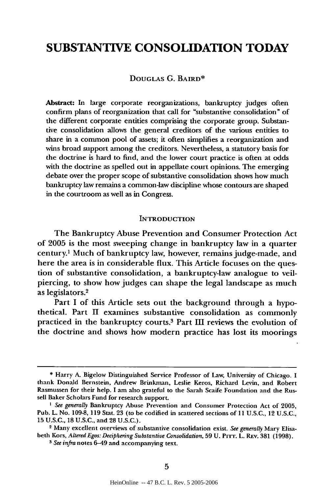## **SUBSTANTIVE CONSOLIDATION TODAY**

#### DOUGLAS **G.** BAIRD\*

Abstract: In large corporate reorganizations, bankruptcy judges often confirm plans of reorganization that call for "substantive consolidation" of the different corporate entities comprising the corporate group. Substantive consolidation allows the general creditors of the various entities to share in a common pool of assets; it often simplifies a reorganization and wins broad support among the creditors. Nevertheless, a statutory basis for the doctrine is hard to find, and the lower court practice is often at odds with the doctrine as spelled out in appellate court opinions. The emerging debate over the proper scope of substantive consolidation shows how much bankruptcy law remains a common-law discipline whose contours are shaped in the courtroom as well as in Congress.

#### **INTRODUCTION**

The Bankruptcy Abuse Prevention and Consumer Protection Act of **2005** is the most sweeping change in bankruptcy law in a quarter century.1 Much of bankruptcy law, however, remains judge-made, and here the area is in considerable flux. This Article focuses on the question of substantive consolidation, a bankruptcy-law analogue to veilpiercing, to show how judges can shape the legal landscape as much as legislators.2

Part I of this Article sets out the background through a hypothetical. Part H examines substantive consolidation as commonly practiced in the bankruptcy courts.<sup>3</sup> Part III reviews the evolution of the doctrine and shows how modern practice has lost its moorings

**<sup>\*</sup>** Harry A. Bigelow Distinguished Service Professor of Law, University of Chicago. I thank Donald Bernstein, Andrew Brinkman, Leslie Keros, Richard Levin, and Robert Rasmussen for their help. I am also grateful to the Sarah Scaife Foundation and the Russell Baker Scholars Fund for research support.

*I See generally* Bankruptcy Abuse Prevention and Consumer Protection Act of **2005,** Pub. L. No. 109-8, 119 Stat. **23** (to be codified in scattered sections of 11 U.S.C., 12 U.S.C., **15** U.S.C., 18 U.S.C., and **28** U.S.C.).

<sup>2</sup> Many excellent overviews of substantive consolidation exist. *See generally* Mary Elisabeth Kors, *Altered Egos: Deciphering Substantive Consolidation,* 59 U. Prrr. L. REV. 381 (1998).

*<sup>3</sup>See infra* notes 6-49 and accompanying text.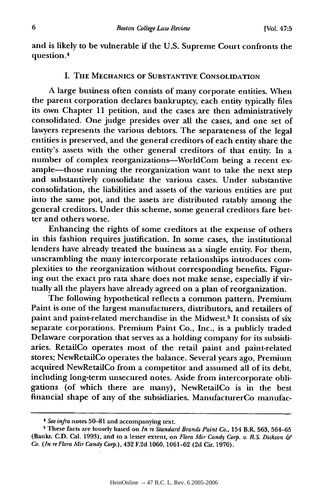and is likely to be vulnerable if the U.S. Supreme Court confronts the question.4

#### I. THE MECHANICS OF SUBSTANTIVE CONSOLIDATION

A large business often consists of many corporate entities. When the parent corporation declares bankruptcy, each entity typically files its own Chapter 11 petition, and the cases are then administratively consolidated. One judge presides over all the cases, and one set of lawyers represents the various debtors. The separateness of the legal entities is preserved, and the general creditors of each entity share the entity's assets with the other general creditors of that entity. In a number of complex reorganizations-WorldCom being a recent example-those running the reorganization want to take the next step and substantively consolidate the various cases. Under substantive consolidation, the liabilities and assets of the various entities are put into the same pot, and the assets are distributed ratably among the general creditors. Under this scheme, some general creditors fare better and others worse.

Enhancing the rights of some creditors at the expense of others in this fashion requires justification. In some cases, the institutional lenders have already treated the business as a single entity. For them, unscrambling the many intercorporate relationships introduces complexities to the reorganization without corresponding benefits. Figuring out the exact pro rata share does not make sense, especially if virtually all the players have already agreed on a plan of reorganization.

The following hypothetical reflects a common pattern. Premium Paint is one of the largest manufacturers, distributors, and retailers of paint and paint-related merchandise in the Midwest.<sup>5</sup> It consists of six separate corporations. Premium Paint Co., Inc., is a publicly traded Delaware corporation that serves as a holding company for its subsidiaries. RetailCo operates most of the retail paint and paint-related stores; NewRetailCo operates the balance. Several years ago, Premium acquired NewRetailCo from a competitor and assumed all of its debt, including long-term unsecured notes. Aside from intercorporate obligations (of which there are many), NewRetailCo is in the best financial shape of any of the subsidiaries. ManufacturerCo manufac-

*<sup>4</sup>*See *infra* notes 50-81 and accompanying text.

These facts are loosely based on *In re* Standard *Brands Paint Co.,* 154 B.R. 563, 564-65 (Bankr. C.D. Cal. 1993), and to a lesser extent, on *Flora Mir Candy Corp. v. R.S. Dickson & Co. (In reFlora Mir Candy Cop.),* 432 **F.2d** 1060, 1061-62 (2d Cir. 1970).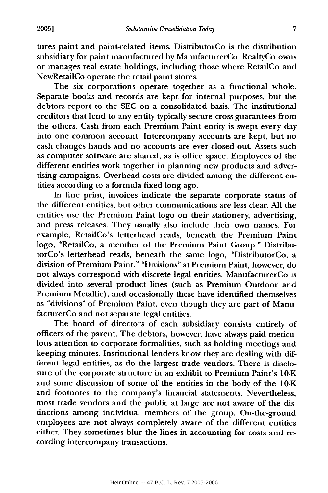tures paint and paint-related items. DistributorCo is the distribution subsidiary for paint manufactured **by** ManufacturerCo. RealtyCo owns or manages real estate holdings, including those where RetailCo and

NewRetailCo operate the retail paint stores. The six corporations operate together as a functional whole. Separate books and records are kept for internal purposes, but the debtors report to the SEC on a consolidated basis. The institutional creditors that lend to any entity typically secure cross-guarantees from the others. Cash from each Premium Paint entity is swept every day into one common account. Intercompany accounts are kept, but no cash changes hands and no accounts are ever closed out. Assets such as computer software are shared, as is office space. Employees of the different entities work together in planning new products and advertising campaigns. Overhead costs are divided among the different entities according to a formula fixed long ago.

In fine print, invoices indicate the separate corporate status of the different entities, but other communications are less clear. All the entities use the Premium Paint logo on their stationery, advertising, and press releases. They usually also include their own names. For example, RetailCo's letterhead reads, beneath the Premium Paint logo, "RetailCo, a member of the Premium Paint Group." DistributorCo's letterhead reads, beneath the same logo, "DistributorCo, a division of Premium Paint." "Divisions" at Premium Paint, however, do not always correspond with discrete legal entities. ManufacturerCo is divided into several product lines (such as Premium Outdoor and Premium Metallic), and occasionally these have identified themselves as "divisions" of Premium Paint, even though they are part of ManufacturerCo and not separate legal entities.

The board of directors of each subsidiary consists entirely of officers of the parent. The debtors, however, have always paid meticulous attention to corporate formalities, such as holding meetings and keeping minutes. Institutional lenders know they are dealing with different legal entities, as do the largest trade vendors. There is disclosure of the corporate structure in an exhibit to Premium Paint's 10-K and some discussion of some of the entities in the body of the 10-K and footnotes to the company's financial statements. Nevertheless, most trade vendors and the public at large are not aware of the distinctions among individual members of the group. On-the-ground employees are not always completely aware of the different entities either. They sometimes blur the lines in accounting for costs and recording intercompany transactions.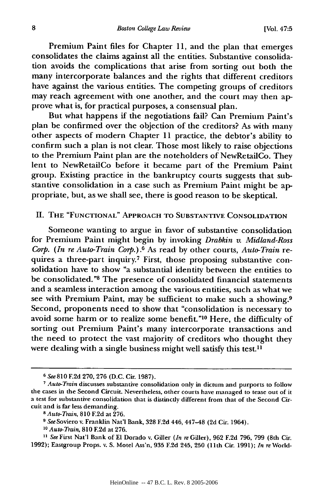Premium Paint files for Chapter 11, and the plan that emerges consolidates the claims against all the entities. Substantive consolidation avoids the complications that arise from sorting out both the many intercorporate balances and the rights that different creditors have against the various entities. The competing groups of creditors may reach agreement with one another, and the court may then approve what is, for practical purposes, a consensual plan.

But what happens if the negotiations fail? Can Premium Paint's plan be confirmed over the objection of the creditors? As with many other aspects of modern Chapter 11 practice, the debtor's ability to confirm such a plan is not clear. Those most likely to raise objections to the Premium Paint plan are the noteholders of NewRetailCo. They lent to NewRetailCo before it became part of the Premium Paint group. Existing practice in the bankruptcy courts suggests that substantive consolidation in a case such as Premium Paint might be appropriate, but, as we shall see, there is good reason to be skeptical.

### **II.** THE "FUNCTIONAL" APPROACH TO SUBSTANTIVE CONSOLIDATION

Someone wanting to argue in favor of substantive consolidation for Premium Paint might begin by invoking *Drabkin v. Midland-Ross Corp. (In re Auto-Train Corp.).6* As read by other courts, *Auto-Train* requires a three-part inquiry.7 First, those proposing substantive consolidation have to show "a substantial identity between the entities to be consolidated."<sup>8</sup> The presence of consolidated financial statements and a seamless interaction among the various entities, such as what we see with Premium Paint, may be sufficient to make such a showing.<sup>9</sup> Second, proponents need to show that "consolidation is necessary to avoid some harm or to realize some benefit."<sup>10</sup> Here, the difficulty of sorting out Premium Paint's many intercorporate transactions and the need to protect the vast majority of creditors who thought they were dealing with a single business might well satisfy this test.<sup>11</sup>

**<sup>6</sup>** *See* **810 F.2d** 270, **276 (D.C.** Cir. 1987).

*<sup>7</sup> Auto-Train* discusses substantive consolidation only in dictum and purports to follow the cases in the Second Circuit. Nevertheless, other courts have managed to tease out of **it** a test for substantive consolidation that is distinctly different from that of the Second Circuit and is far less demanding. *<sup>8</sup>Auto-Train,* **810 F.2d** at **276.**

**<sup>9</sup>** SeeSovierov. Franklin Nat'l Bank, **328** F.2d 446, 447-48 (2d Cir. 1964).

*<sup>10</sup> Auto-Train,* **810** F.2d at 276.

*<sup>1</sup> See* First Nat'l Bank of El Dorado v. Giller *(In re* Giller), 962 **F.2d** 796, **799** (8th Cir. 1992); Eastgroup Props. v. S. Motel Ass'n, 935 **F.2d** 245, 250 (11th Cir. 1991); *In* reWorld-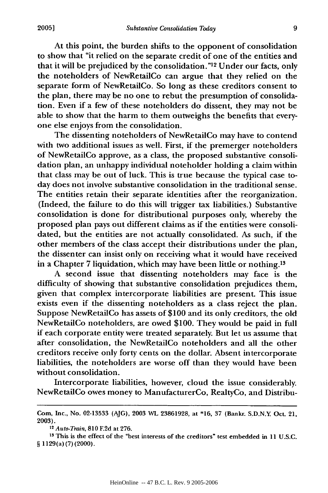At this point, the burden shifts to the opponent of consolidation to show that "it relied on the separate credit of one of the entities and that it will be prejudiced by the consolidation."12 Under our facts, only the noteholders of NewRetailCo can argue that they relied on the separate form of NewRetailCo. So long as these creditors consent to the plan, there may be no one to rebut the presumption of consolidation. Even if a few of these noteholders do dissent, they may not be able to show that the harm to them outweighs the benefits that everyone else enjoys from the consolidation.

The dissenting noteholders of NewRetailCo may have to contend with two additional issues as well. First, if the premerger noteholders of NewRetailCo approve, as a class, the proposed substantive consolidation plan, an unhappy individual noteholder holding a claim within that class may be out of luck. This is true because the typical case today does not involve substantive consolidation in the traditional sense. The entities retain their separate identities after the reorganization. (Indeed, the failure to do this will trigger tax liabilities.) Substantive consolidation is done for distributional purposes only, whereby the proposed plan pays out different claims as if the entities were consolidated, but the entities are not actually consolidated. As such, if the other members of the class accept their distributions under the plan, the dissenter can insist only on receiving what it would have received in a Chapter 7 liquidation, which may have been little or nothing. <sup>13</sup>

A second issue that dissenting noteholders may face is the difficulty of showing that substantive consolidation prejudices them, given that complex intercorporate liabilities are present. This issue exists even if the dissenting noteholders as a class reject the plan. Suppose NewRetailCo has assets of \$100 and its only creditors, the old NewRetailCo noteholders, are owed \$100. They would be paid in full if each corporate entity were treated separately. But let us assume that after consolidation, the NewRetailCo noteholders and all the other creditors receive only forty cents on the dollar. Absent intercorporate liabilities, the noteholders are worse off than they would have been without consolidation.

Intercorporate liabilities, however, cloud the issue considerably. NewRetailCo owes money to ManufacturerCo, RealtyCo, and Distribu-

Com, Inc., No. **02-13533 (AJG), 2003** WL **23861928,** at **\*16, 37** (Bankr. **S.D.N.Y** Oct. 21, **2003).**

<sup>12</sup> *Auto-Train,* **810 F.2d** at **276.**

**<sup>13</sup>** This is the effect of the "best interests of the creditors" test embedded in **11 U.S.C.** § **1129(a) (7)** (2000).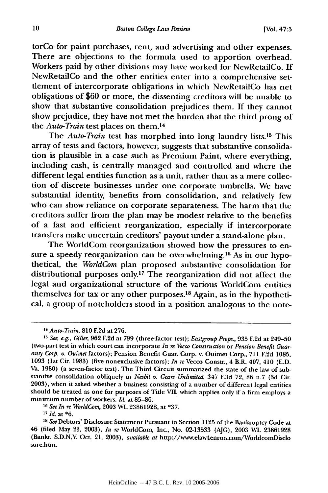torCo for paint purchases, rent, and advertising and other expenses. There are objections to the formula used to apportion overhead. Workers paid by other divisions may have worked for NewRetailCo. If NewRetailCo and the other entities enter into a comprehensive settlement of intercorporate obligations in which NewRetailCo has net obligations of \$60 or more, the dissenting creditors will be unable to show that substantive consolidation prejudices them. If they cannot show prejudice, they have not met the burden that the third prong of the *Auto-Train* test places on them. <sup>14</sup>

The *Auto-Train* test has morphed into long laundry lists.<sup>15</sup> This array of tests and factors, however, suggests that substantive consolidation is plausible in a case such as Premium Paint, where everything, including cash, is centrally managed and controlled and where the different legal entities function as a unit, rather than as a mere collection of discrete businesses under one corporate umbrella. We have substantial identity, benefits from consolidation, and relatively few who can show reliance on corporate separateness. The harm that the creditors suffer from the plan may be modest relative to the benefits of a fast and efficient reorganization, especially if intercorporate transfers make uncertain creditors' payout under a stand-alone plan.

The WorldCom reorganization showed how the pressures to ensure a speedy reorganization can be overwhelming.<sup>16</sup> As in our hypothetical, the *WorldCom* plan proposed substantive consolidation for distributional purposes only.17 The reorganization did not affect the legal and organizational structure of the various WorldCom entities themselves for tax or any other purposes.18 Again, as in the hypothetical, a group of noteholders stood in a position analogous to the note-

<sup>14</sup>*Auto-Train,* 810 **F.2d** at 276.

*<sup>15</sup>*See, e.g., Giller, **962 F.2d** at **799** (three-factor test); *Eastgroup Props.,* **935 F.2d** at 249-50 (two-part test in which court can incorporate *In* re Vecco Construction or Pension *Benefit* Guaranty *Corp. v. Ouimet* factors); Pension Benefit Guar. Corp. v. Ouimet Corp., 711 F.2d 1085, 1093 (1st Cir. 1983) (five nonexclusive factors); *In* re Vecco Constr., 4 B.R. 407, 410 (E.D. Va. 1980) (a seven-factor test). The Third Circuit summarized the state of the law of substantive consolidation obliquely in Nesbit *v. Gears Unlimited,* 347 **F.3d** 72, 86 n.7 (3d Cir. 2003), when it asked whether a business consisting of a number of different legal entities should be treated as one for purposes of Title VII, which applies only if a firm employs a minimum number of workers. *Id.* at 85-86.

**<sup>16</sup>** *See In re* WorldCom, 2003 WL 23861928, at **\*37.**

<sup>17</sup>*Id.* at \*6.

**<sup>1</sup> <sup>8</sup>**See Debtors' Disclosure Statement Pursuant to Section 1125 of the Bankruptcy Code at 46 (filed May 23, 2003), *In re* WorldCom, Inc., No. 02-13533 (AJG), 2003 WL 23861928 (Bankr. S.D.N.Y Oct. 21, 2003), *available at* http://www.elaw4enron.com/WorldcomDisclo sure.htm.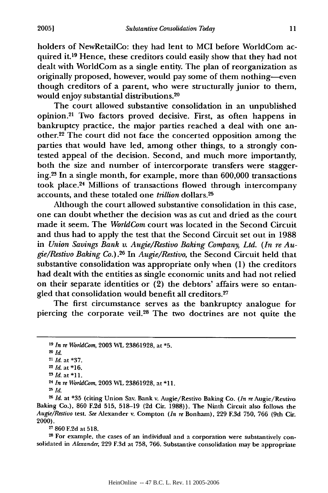holders of NewRetailCo: they had lent to MCI before WorldCom acquired it.19 Hence, these creditors could easily show that they had not dealt with WorldCom as a single entity. The plan of reorganization as originally proposed, however, would pay some of them nothing-even though creditors of a parent, who were structurally junior to them, would enjoy substantial distributions.<sup>20</sup>

The court allowed substantive consolidation in an unpublished opinion. 21 Two factors proved decisive. First, as often happens in bankruptcy practice, the major parties reached a deal with one another.<sup>22</sup> The court did not face the concerted opposition among the parties that would have led, among other things, to a strongly contested appeal of the decision. Second, and much more importantly, both the size and number of intercorporate transfers were staggering.23 In a single month, for example, more than **600,000** transactions took place. 24 Millions of transactions flowed through intercompany accounts, and these totaled one *trillion* dollars. <sup>25</sup>

Although the court allowed substantive consolidation in this case, one can doubt whether the decision was as cut and dried as the court made it seem. The *WorldCom* court was located in the Second Circuit and thus had to apply the test that the Second Circuit set out in **1988** in *Union Savings Bank v. Augie/Restivo Baking Company, Ltd. (In re Augie/Restivo Baking Co.).26* In *Augie/Restivo,* the Second Circuit held that substantive consolidation was appropriate only when (1) the creditors had dealt with the entities as single economic units and had not relied on their separate identities or (2) the debtors' affairs were so entangled that consolidation would benefit all creditors.<sup>27</sup>

The first circumstance serves as the bankruptcy analogue for piercing the corporate veil.28 The two doctrines are not quite the

<sup>23</sup>*Id.* at **\*11.**

**25** *Id.*

**<sup>26</sup>***Id.* at \*35 (citing Union Say. Bank v. Augie/Restivo Baking Co. *(In re* Augie/Restivo Baking Co.), 860 **F.2d** 515, 518-19 (2d Cir. 1988)). The Ninth Circuit also follows the *Augie/Restivo* test. *See* Alexander v. Compton *(In re* Bonham), 229 **F.3d** 750, 766 (9th Cir. 2000).

<sup>27</sup>**860 F.2d** at **518.**

**28** For example, the cases of an individual and a corporation were substantively consolidated in *Alexander,* **229 F.3d** at **758, 766.** Substantive consolidation may be appropriate

**<sup>19</sup>In re** *WorldCom,* **2003** WL **23861928,** at **\*5.** *<sup>20</sup> Id.*

<sup>21</sup>*Id.* at **\*37.**

<sup>22</sup>*Id.* at **\*16.**

<sup>24</sup>*In re WorldCom,* **2003** WL **23861928,** at **\*11.**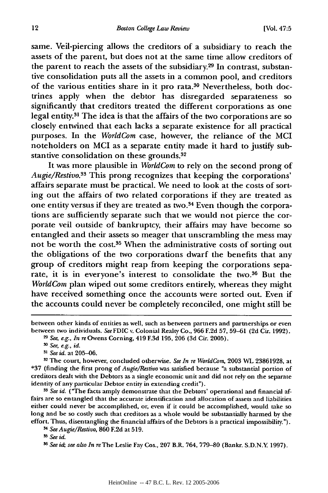same. Veil-piercing allows the creditors of a subsidiary to reach the assets of the parent, but does not at the same time allow creditors of the parent to reach the assets of the subsidiary.29 In contrast, substantive consolidation puts all the assets in a common pool, and creditors of the various entities share in it pro rata.<sup>30</sup> Nevertheless, both doctrines apply when the debtor has disregarded separateness so significantly that creditors treated the different corporations as one legal entity.31 The idea is that the affairs of the two corporations are so closely entwined that each lacks a separate existence for all practical purposes. In the *WorldCom* case, however, the reliance of the MCI noteholders on MCI as a separate entity made it hard to justify substantive consolidation on these grounds.<sup>32</sup>

It was more plausible in *WorldCom* to rely on the second prong of *Augie/Restivo. <sup>33</sup>*This prong recognizes that keeping the corporations' affairs separate must be practical. We need to look at the costs of sorting out the affairs of two related corporations if they are treated as one entity versus if they are treated as two.34 Even though the corporations are sufficiently separate such that we would not pierce the corporate veil outside of bankruptcy, their affairs may have become so entangled and their assets so meager that unscrambling the mess may not be worth the cost.35 When the administrative costs of sorting out the obligations of the two corporations dwarf the benefits that any group of creditors might reap from keeping the corporations separate, it is in everyone's interest to consolidate the two.36 But the *WorldCom* plan wiped out some creditors entirely, whereas they might have received something once the accounts were sorted out. Even if the accounts could never be completely reconciled, one might still be

**33** *See id.* ("The facts amply demonstrate that the Debtors' operational and financial affairs are so entangled that the accurate identification and allocation of assets and liabilities either could never be accomplished, or, even if it could be accomplished, would take so long and be so costly such that creditors as a whole would be substantially harmed by the effort. Thus, disentangling the financial affairs of the Debtors is a practical impossibility.").

between other kinds of entities as well, such as between partners and partnerships or even between two individuals. *See* FDIC **v.** Colonial Realty Co., **966 F.2d 57, 59-61 (2d** Cir. **1992).**

*<sup>2</sup> See, e.g., In* re Owens Corning, 419 F.3d **195, 206 (3d** Cir. 2005).

*<sup>30</sup>See, e.g., id.*

**<sup>31</sup>** *See id.* at 205-06.

**<sup>32</sup>**The court, however, concluded otherwise. *See In re WorldCon,* **2003** WL **23861928,** at **\*37** (finding the first prong of *Augie/Restivo* was satisfied because "a substantial portion of creditors dealt with the Debtors as a single economic unit and did not rely on the separate identity of any particular Debtor entity in extending credit").

<sup>3</sup>*See Augie/Restivo,* **860 F.2d** at **519.**

**<sup>35</sup>***See* **id.**

**<sup>36</sup>***See id; see also In reThe* Leslie Fay Cos., **207** B.R. 764, **779-80** (Bankr. **S.D.N.Y** 1997).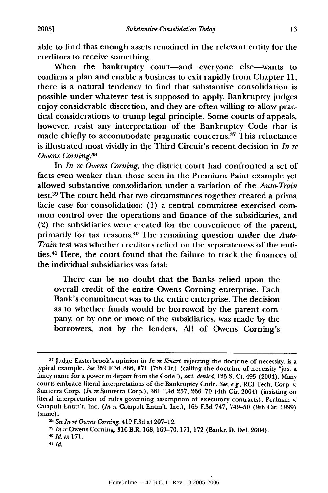able to find that enough assets remained in the relevant entity for the creditors to receive something.

When the bankruptcy court-and everyone else-wants to confirm a plan and enable a business to exit rapidly from Chapter 11, there is a natural tendency to find that substantive consolidation is possible under whatever test is supposed to apply. Bankruptcy judges enjoy considerable discretion, and they are often willing to allow practical considerations to trump legal principle. Some courts of appeals, however, resist any interpretation of the Bankruptcy Code that is made chiefly to accommodate pragmatic concerns.<sup>37</sup> This reluctance is illustrated most vividly in the Third Circuit's recent decision in *In re Owens Corning.38*

In *In re Owens Corning,* the district court had confronted a set of facts even weaker than those seen in the Premium Paint example yet allowed substantive consolidation under a variation of the *Auto-Train* test.39 The court held that two circumstances together created a prima facie case for consolidation: (1) a central committee exercised common control over the operations and finance of the subsidiaries, and (2) the subsidiaries were created for the convenience of the parent, primarily for tax reasons. 40 The remaining question under the *Auto-Train* test was whether creditors relied on the separateness of the entities. 41 Here, the court found that the failure to track the finances of the individual subsidiaries was fatal:

There can be no doubt that the Banks relied upon the overall credit of the entire Owens Corning enterprise. Each Bank's commitment was to the entire enterprise. The decision as to whether funds would be borrowed by the parent company, or by one or more of the subsidiaries, was made by the borrowers, not by the lenders. All of Owens Corning's

**<sup>3</sup> <sup>7</sup>**Judge Easterbrook's opinion in *In re Kmart,* rejecting the doctrine of necessity, is a typical example. *See* **359 F.3d 866, 871** (7th **Cir.)** (calling the doctrine of necessity "just a fancy name for a power to depart from the Code"), *cert. denied,* **125 S.** Ct. 495 (2004). Many courts embrace literal interpretations of the Bankruptcy Code. *See, e.g.,* RCI Tech. Corp. v. Sunterra Corp. *(In re* Sunterra Corp.), **361 F.3d 257, 266-70** (4th Cir. 2004) (insisting on literal interpretation of rules governing assumption of executory contracts); Perlman v. Catapult Entm't, Inc. *(In re* Catapult Entm't, Inc.), **165 F.3d 747, 749-50** (9th Cir. **1999)** (same).

*m See In re Owens Corning,* 419 **F.3d** at **207-12.** *39 In re* Owens Corning, **316** B.R. **168, 169-70, 171, 172** (Bankr. **D.** Del. 2004).

*<sup>40</sup> Id.* at **171.**

*<sup>41</sup> Id.*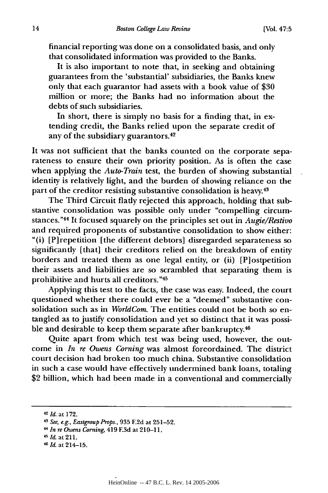financial reporting was done on a consolidated basis, and only that consolidated information was provided to the Banks.

It is also important to note that, in seeking and obtaining guarantees from the 'substantial' subsidiaries, the Banks knew only that each guarantor had assets with a book value of \$30 million or more; the Banks had no information about the debts of such subsidiaries.

In short, there is simply no basis for a finding that, in extending credit, the Banks relied upon the separate credit of any of the subsidiary guarantors. <sup>42</sup>

It was not sufficient that the banks counted on the corporate separateness to ensure their own priority position. As is often the case when applying the *Auto-Train* test, the burden of showing substantial identity is relatively light, and the burden of showing reliance on the part of the creditor resisting substantive consolidation is heavy.<sup>43</sup>

The Third Circuit flatly rejected this approach, holding that substantive consolidation was possible only under "compelling circumstances."44 It focused squarely on the principles set out in *Augie/Restivo* and required proponents of substantive consolidation to show either: "(i) [P]repetition [the different debtors] disregarded separateness so significantly [that] their creditors relied on the breakdown of entity borders and treated them as one legal entity, or (ii) [P]ostpetition their assets and liabilities are so scrambled that separating them is prohibitive and hurts all creditors."45

Applying this test to the facts, the case was easy. Indeed, the court questioned whether there could ever be a "deemed" substantive consolidation such as in *WorldCom.* The entities could not be both so entangled as to justify consolidation and yet so distinct that it was possible and desirable to keep them separate after bankruptcy.<sup>46</sup>

Quite apart from which test was being used, however, the outcome in *In re Owens Corning* was almost foreordained. The district court decision had broken too much china. Substantive consolidation in such a case would have effectively undermined bank loans, totaling \$2 billion, which had been made in a conventional and commercially

<sup>42</sup>*Id.* at 172.

**<sup>43</sup>***See, e.g., Eastgroup Props.,* 935 **F.2d** at 251-52.

*<sup>&</sup>quot; In re Owens Corning,* 419 **F.3d** at 210-11.

**<sup>45</sup>** *Id.* at 211.

**<sup>46</sup>** *Id.* at 214-15.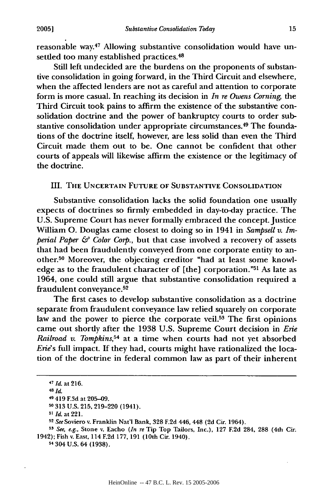reasonable way.47 Allowing substantive consolidation would have unsettled too many established practices. <sup>48</sup>

Still left undecided are the burdens on the proponents of substantive consolidation in going forward, in the Third Circuit and elsewhere, when the affected lenders are not as careful and attention to corporate form is more casual. In reaching its decision in *In re Owens Corning,* the Third Circuit took pains to affirm the existence of the substantive consolidation doctrine and the power of bankruptcy courts to order substantive consolidation under appropriate circumstances.<sup>49</sup> The foundations of the doctrine itself, however, are less solid than even the Third Circuit made them out to be. One cannot be confident that other courts of appeals will likewise affirm the existence or the legitimacy of the doctrine.

III. THE UNCERTAIN FUTURE OF SUBSTANTIVE CONSOLIDATION

Substantive consolidation lacks the solid foundation one usually expects of doctrines so firmly embedded in day-to-day practice. The U.S. Supreme Court has never formally embraced the concept. Justice William **0.** Douglas came closest to doing so in 1941 in *Sampsell v. Imperial Paper & Color Corp.,* but that case involved a recovery of assets that had been fraudulently conveyed from one corporate entity to another.50 Moreover, the objecting creditor "had at least some knowledge as to the fraudulent character of [the] corporation."<sup>51</sup> As late as 1964, one could still argue that substantive consolidation required a fraudulent conveyance. <sup>52</sup>

The first cases to develop substantive consolidation as a doctrine separate from fraudulent conveyance law relied squarely on corporate law and the power to pierce the corporate veil.<sup>53</sup> The first opinions came out shortly after the 1938 U.S. Supreme Court decision in *Erie Railroad v. Tompkins,54* at a time when courts had not yet absorbed *Erie's* full impact. If they had, courts might have rationalized the location of the doctrine in federal common law as part of their inherent

*<sup>47</sup> Id.* at 216.

<sup>48</sup>*Id.*

**<sup>49</sup>**419 **F.3d** at 205-09.

**<sup>50</sup>**313 U.S. 215, 219-220 (1941).

*S Id.* at 221.

**<sup>52</sup>***See* Soviero v. Franklin Nat'l Bank, 328 F.2d 446, 448 (2d Cir. 1964).

**<sup>53</sup>***See, e.g.,* Stone v. Eacho *(In re* Tip Top Tailors, Inc.), 127 **F.2d** 284, 288 (4th Cir. 1942); Fish v. East, 114 **F.2d** 177, 191 (10th Cir. 1940).

**<sup>54</sup>**304 U.S. 64 **(1938).**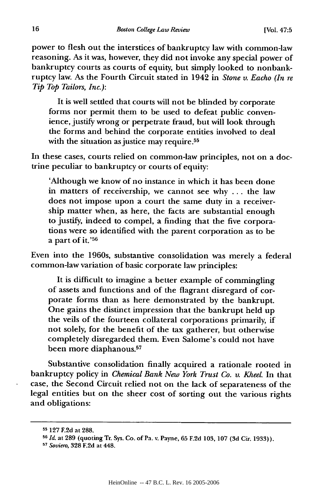power to flesh out the interstices of bankruptcy law with common-law reasoning. As it was, however, they did not invoke any special power of bankruptcy courts as courts of equity, but simply looked to nonbankruptcy law. As the Fourth Circuit stated in 1942 in *Stone v. Eacho (In re Tip Top Tailors, Inc.):*

It is well settled that courts will not be blinded by corporate forms nor permit them to be used to defeat public convenience, justify wrong or perpetrate fraud, but will look through the forms and behind the corporate entities involved to deal with the situation as justice may require.<sup>55</sup>

In these cases, courts relied on common-law principles, not on a doctrine peculiar to bankruptcy or courts of equity:

'Although we know of no instance in which it has been done in matters of receivership, we cannot see why ... the law does not impose upon a court the same duty in a receivership matter when, as here, the facts are substantial enough to justify, indeed to compel, a finding that the five corporations were so identified with the parent corporation as to be a part of it.'56

Even into the 1960s, substantive consolidation was merely a federal common-law variation of basic corporate law principles:

It is difficult to imagine a better example of commingling of assets and functions and of the flagrant disregard of corporate forms than as here demonstrated by the bankrupt. One gains the distinct impression that the bankrupt held up the veils of the fourteen collateral corporations primarily, if not solely, for the benefit of the tax gatherer, but otherwise completely disregarded them. Even Salome's could not have been more diaphanous.<sup>57</sup>

Substantive consolidation finally acquired a rationale rooted in bankruptcy policy in *Chemical Bank New York Trust Co. v. Kheel.* In that case, the Second Circuit relied not on the lack of separateness of the legal entities but on the sheer cost of sorting out the various rights and obligations:

**<sup>55</sup>**127 F.2d at 288. *<sup>5</sup> <sup>6</sup>Id.* at 289 (quoting Tr. Sys. Co. of Pa. v. Payne, 65 F.2d 103, 107 (3d Cir. 1933)).

*r7 Soviero,* **328 F.2d** at 448.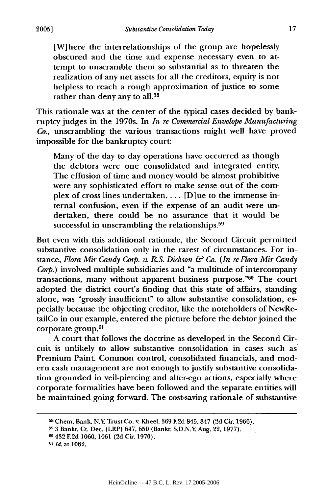[W]here the interrelationships of the group are hopelessly obscured and the time and expense necessary even to attempt to unscramble them so substantial as to threaten the realization of any net assets for all the creditors, equity is not helpless to reach a rough approximation of justice to some rather than deny any to all. $58$ 

This rationale was at the center of the typical cases decided by bankruptcy judges in the 1970s. In *In re Commercial Envelope Manufacturing Co.,* unscrambling the various transactions might well have proved impossible for the bankruptcy court:

Many of the day to day operations have occurred as though the debtors were one consolidated and integrated entity. The effusion of time and money would be almost prohibitive were any sophisticated effort to make sense out of the complex of cross lines undertaken.... [D]ue to the immense internal confusion, even if the expense of an audit were undertaken, there could be no assurance that it would be successful in unscrambling the relationships.<sup>59</sup>

But even with this additional rationale, the Second Circuit permitted substantive consolidation only in the rarest of circumstances. For instance, *Flora Mir Candy Corp. v. R* **S.** *Dickson & Co. (In re Flora Mir Candy Corp.)* involved multiple subsidiaries and "a multitude of intercompany transactions, many without apparent business purpose."60 The court adopted the district court's finding that this state of affairs, standing alone, was "grossly insufficient" to allow substantive consolidation, especially because the objecting creditor, like the noteholders of NewRetailCo in our example, entered the picture before the debtor joined the corporate group.61

A court that follows the doctrine as developed in the Second Circuit is unlikely to allow substantive consolidation in cases such as Premium Paint. Common control, consolidated financials, and modern cash management are not enough to justify substantive consolidation grounded in veil-piercing and alter-ego actions, especially where corporate formalities have been followed and the separate entities will be maintained going forward. The cost-saving rationale of substantive

**<sup>58</sup>**Chem. Bank. **N.Y** Trust Co. v. Kheel, **369 F.2d** 845, **847 (2d** Cir. 1966).

**<sup>59</sup>**3 Bankr. Ct. Dec. (LRP) 647, 650 (Bankr. S.D.N.Y Aug. 22, 1977).

**<sup>60</sup>**432 **F.2d** 1060, 1061 (2d Cir. 1970).

**<sup>61</sup>** *Id.* at 1062.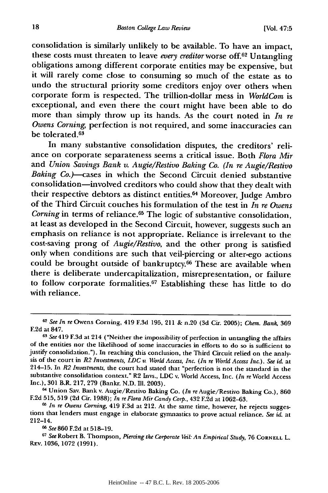consolidation is similarly unlikely to be available. To have an impact, these costs must threaten to leave *every creditor* worse **off. <sup>62</sup>**Untangling obligations among different corporate entities may be expensive, but it will rarely come close to consuming so much of the estate as to undo the structural priority some creditors enjoy over others when corporate form is respected. The trillion-dollar mess in *WorldCom* is exceptional, and even there the court might have been able to do more than simply throw up its hands. As the court noted in *In re Owens Corning,* perfection is not required, and some inaccuracies can be tolerated.<sup>63</sup>

In many substantive consolidation disputes, the creditors' reliance on corporate separateness seems a critical issue. Both *Flora Mir* and *Union Savings Bank v. Augie/Restivo Baking Co. (In re Augie/Restivo* Baking Co.)-cases in which the Second Circuit denied substantive consolidation-involved creditors who could show that they dealt with their respective debtors as distinct entities. 64 Moreover, Judge Ambro of the Third Circuit couches his formulation of the test in *In re Owens Corning* in terms of reliance.<sup>65</sup> The logic of substantive consolidation, at least as developed in the Second Circuit, however, suggests such an emphasis on reliance is not appropriate. Reliance is irrelevant to the cost-saving prong of *Augie/Restivo,* and the other prong is satisfied only when conditions are such that veil-piercing or alter-ego actions could be brought outside of bankruptcy.<sup>66</sup> These are available when there is deliberate undercapitalization, misrepresentation, or failure to follow corporate formalities.<sup>67</sup> Establishing these has little to do with reliance.

**<sup>62</sup>***See In* re Owens Corning, 419 **F.3d** 195, 211 & n.20 **(3d Cir. 2005);** *Chem. Bank,* **369 F.2d** at **847.**

*<sup>63</sup>See* 419 **F.3d** at 214 ("Neither the impossibility of perfection in untangling the affairs of the entities nor the likelihood of some inaccuracies in efforts to do **so** is sufficient to justify consolidation."). In reaching this conclusion, the Third Circuit relied on the analysis of the court in *R2 Investments, LDC v. World Access, Inc. (In re World Access Inc.). See id.* at 214-15. In *R2 Investments,* the court had stated that "perfection is not the standard in the substantive consolidation context." R2 Invs., **LDC** v. World Access, Inc. *(In re* World Access Inc.), **301** B.R. **217, 279** (Bankr. **N.D. Ill. 2003).**

**<sup>64</sup>**Union Sav. Bank v. Augie/Restivo Baking Co. *(In* reAugie/Restivo Baking Co.), **860 F.2d 515, 519 (2d** Cir. **1988);** *In reFlora Mir Candy Corp.,* 432 **F.2d** at **1062-63.**

*<sup>65</sup> In re Owens Corning,* 419 **F.3d** at 212. At the same time, however, he rejects suggestions that lenders must engage in elaborate gymnastics to prove actual reliance. *See id.* at 212-14.

*<sup>66</sup>See* **860 F.2d** at **518-19.**

**<sup>67</sup>***See* Robert B. Thompson, *Piercing the Corporate Veil: An Empirical Study,* **76** CORNELL L. Rxv. **1036, 1072 (1991).**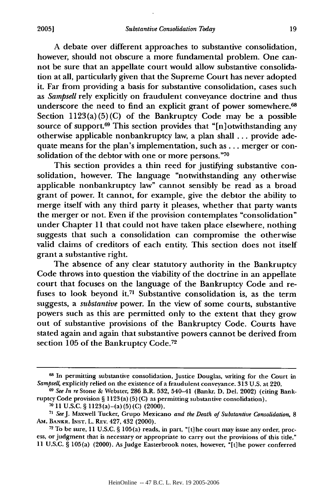A debate over different approaches to substantive consolidation, however, should not obscure a more fundamental problem. One cannot be sure that an appellate court would allow substantive consolidation at all, particularly given that the Supreme Court has never adopted it. Far from providing a basis for substantive consolidation, cases such as *Sampsell* rely explicitly on fraudulent conveyance doctrine and thus underscore the need to find an explicit grant of power somewhere.<sup>68</sup> Section  $1123(a)(5)(C)$  of the Bankruptcy Code may be a possible source of support.<sup>69</sup> This section provides that "[n]otwithstanding any otherwise applicable nonbankruptcy law, a plan shall ... provide adequate means for the plan's implementation, such as... merger or consolidation of the debtor with one or more persons. "70

This section provides a thin reed for justifying substantive consolidation, however. The language "notwithstanding any otherwise applicable nonbankruptcy law" cannot sensibly be read as a broad grant of power. It cannot, for example, give the debtor the ability to merge itself with any third party it pleases, whether that party wants the merger or not. Even if the provision contemplates "consolidation" under Chapter 11 that could not have taken place elsewhere, nothing suggests that such a consolidation can compromise the otherwise valid claims of creditors of each entity. This section does not itself grant a substantive right.

The absence of any clear statutory authority in the Bankruptcy Code throws into question the viability of the doctrine in an appellate court that focuses on the language of the Bankruptcy Code and refuses to look beyond it.71 Substantive consolidation is, as the term suggests, a *substantive* power. In the view of some courts, substantive powers such as this are permitted only to the extent that they grow out of substantive provisions of the Bankruptcy Code. Courts have stated again and again that substantive powers cannot be derived from section 105 of the Bankruptcy Code.<sup>72</sup>

**<sup>68</sup>**In permitting substantive consolidation, Justice Douglas, writing for the Court in *Sampsel4* explicitly relied on the existence of a fraudulent conveyance. 313 U.S. at 220.

**<sup>6</sup>** *See In re* Stone & Webster, 286 B.R. 532, 540-41 (Bankr. D. Del. 2002) (citing Bankruptcy Code provision § 1123 (a) (5) (C) as permitting substantive consolidation).

 $70$  11 U.S.C. § 1123(a)-(a)(5)(C)(2000).

**<sup>71</sup>***See J.* Maxwell Tucker, Grupo Mexicano *and the Death of Substantive Consolidation, 8* AM. BANKR. **INST.** L. REv. 427, 432 (2000).

**<sup>72</sup>** To be sure, 11 U.S.C. § 105(a) reads, in part, "[t]he court may issue any order, process, or judgment that is necessary or appropriate to carry out the provisions of this title." 11 U.S.C.  $\S$  105(a) (2000). As Judge Easterbrook notes, however, "[t]he power conferred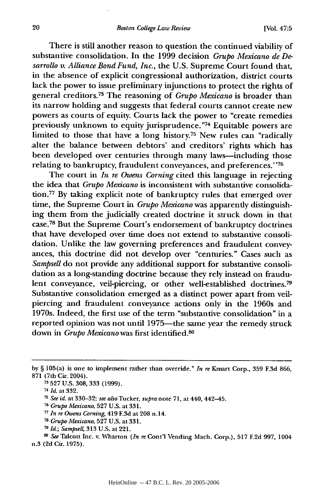There is still another reason to question the continued viability of substantive consolidation. In the 1999 decision *Grupo Mexicano de Desarrollo v. Alliance Bond Fund, Inc.,* the U.S. Supreme Court found that, in the absence of explicit congressional authorization, district courts lack the power to issue preliminary injunctions to protect the rights of general creditors. 73 The reasoning of *Grupo Mexicano* is broader than its narrow holding and suggests that federal courts cannot create new powers as courts of equity. Courts lack the power to "create remedies previously unknown to equity jurisprudence."<sup>74</sup> Equitable powers are limited to those that have a long history.75 New rules can "radically .alter the balance between debtors' and creditors' rights which has been developed over centuries through many laws-including those relating to bankruptcy, fraudulent conveyances, and preferences." <sup>76</sup>

The court in *In re Owens Corning* cited this language in rejecting the idea that *Grupo Mexicano* is inconsistent with substantive consolidation. 77 By taking explicit note of bankruptcy rules that emerged over time, the Supreme Court in *Grupo Mexicano* was apparently distinguishing them from the judicially created doctrine it struck down in that case. 78 But the Supreme Court's endorsement of bankruptcy doctrines that have developed over time does not extend to substantive consolidation. Unlike the law governing preferences and fraudulent conveyances, this doctrine did not develop over "centuries." Cases such as *Sampsell* do not provide any additional support for substantive consolidation as a long-standing doctrine because they rely instead on fraudulent conveyance, veil-piercing, or other well-established doctrines.<sup>79</sup> Substantive consolidation emerged as a distinct power apart from veilpiercing and fraudulent conveyance actions only in the 1960s and 1970s. Indeed, the first use of the term "substantive consolidation" in a reported opinion was not until 1975-the same year the remedy struck down in *Grupo Mexicano* was first identified.<sup>80</sup>

**80** *See* Talcott Inc. v. Wharton *(In re* Cont'l Vending Mach. Corp.), 517 F.2d 997, 1004 n.3 **(2d** Cir. 1975).

by § 105(a) is one to implement rather than override." *In re* Kmart Corp., **359** F.3d 866, 871 (7th Cir. 2004).

**<sup>73</sup> 527** U.S. 308, **333** (1999).

**<sup>74</sup>** *Id.* at **332.**

**<sup>75</sup>***See id.* at **330-32;** *see* also Tucker, *supra* note 71, at 440, 442-45.

**<sup>76</sup>***Grupo Mexicano,* **527** U.S. at **331.**

**<sup>77</sup>***In re Owens Coming,* 419 **F.3d** at **208** n.14.

**<sup>78</sup>***Grupo Mexicano,* **527** U.S. at **331.**

**<sup>79</sup>** *Id.; Sampsel* **313** U.S. at 221.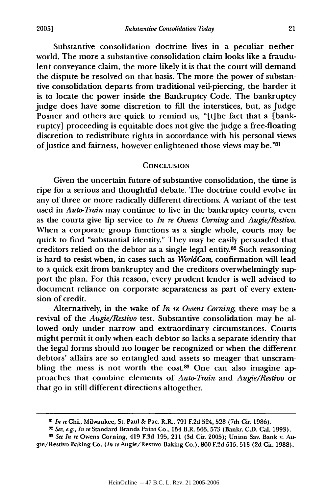Substantive consolidation doctrine lives in a peculiar netherworld. The more a substantive consolidation claim looks like a fraudulent conveyance claim, the more likely it is that the court will demand the dispute be resolved on that basis. The more the power of substantive consolidation departs from traditional veil-piercing, the harder it is to locate the power inside the Bankruptcy Code. The bankruptcy judge does have some discretion to fill the interstices, but, as Judge Posner and others are quick to remind us, "[t]he fact that a [bankruptcy] proceeding is equitable does not give the judge a free-floating discretion to redistribute rights in accordance with his personal views of justice and fairness, however enlightened those views may be."81

#### **CONCLUSION**

Given the uncertain future of substantive consolidation, the time is ripe for a serious and thoughtful debate. The doctrine could evolve in any of three or more radically different directions. A variant of the test used in *Auto-Train* may continue to live in the bankruptcy courts, even as the courts give lip service to *In re Owens Corning* and *Augie/Restivo.* When a corporate group functions as a single whole, courts may be quick to find "substantial identity." They may be easily persuaded that creditors relied on the debtor as a single legal entity.82 Such reasoning is hard to resist when, in cases such as *WorldCon,* confirmation will lead to a quick exit from bankruptcy and the creditors overwhelmingly support the plan. For this reason, every prudent lender is well advised to document reliance on corporate separateness as part of every extension of credit.

Alternatively, in the wake of *In re Owens Corning,* there may be a revival of the *Augie/Restivo* test. Substantive consolidation may be allowed only under narrow and extraordinary circumstances. Courts might permit it only when each debtor so lacks a separate identity that the legal forms should no longer be recognized or when the different debtors' affairs are so entangled and assets so meager that unscrambling the mess is not worth the cost.83 One can also imagine approaches that combine elements of *Auto-Train* and *Augie/Restivo* or that go in still different directions altogether.

*<sup>81</sup> In rv* Chi., Milwaukee, St. Paul & Pac. R.R., **791 F.2d** 524, **528** (7th Cir. **1986).**

**<sup>8</sup>***See, e.g., In* re Standard Brands Paint Co., 154 B.R. **563, 573** (Bankr. **C.D.** Cal. **1993).**

*<sup>83</sup> See In re* Owens Corning, 419 **F.3d 195,** 211 **(3d Cir. 2005);** Union Sav. Bank v. Augie/Restivo Baking Co. *(In* reAugie/Restivo Baking Co.), **860 F.2d 515, 518 (2d** Cir. **1988).**